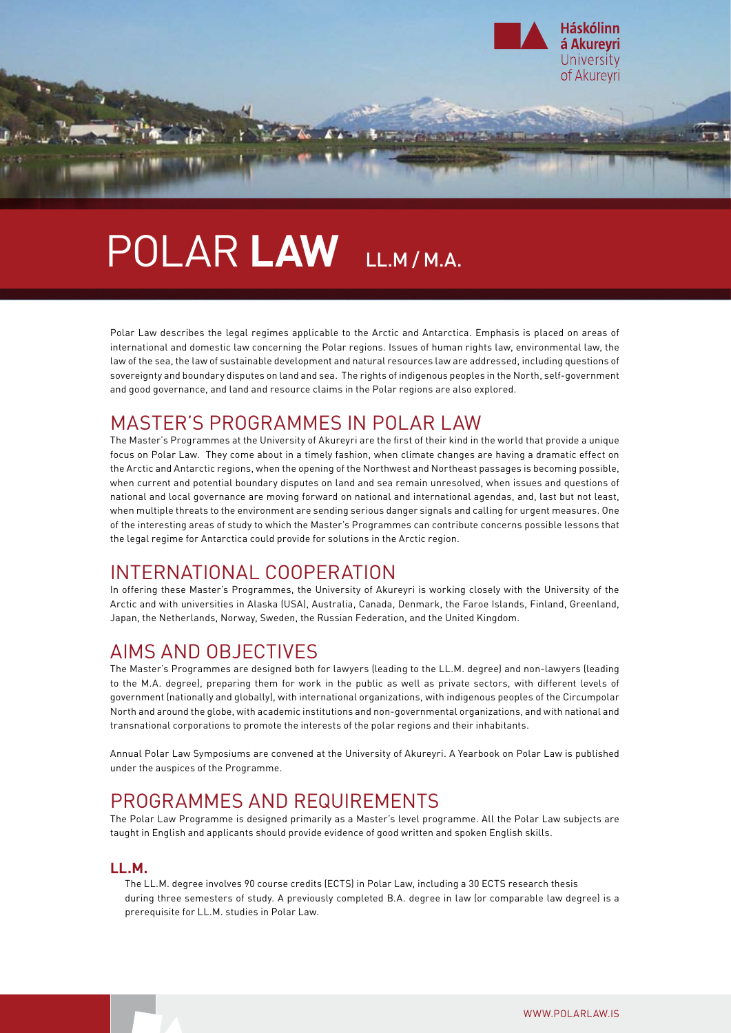

# Polar **Law** LL.M / M.A.

Polar Law describes the legal regimes applicable to the Arctic and Antarctica. Emphasis is placed on areas of international and domestic law concerning the Polar regions. Issues of human rights law, environmental law, the law of the sea, the law of sustainable development and natural resources law are addressed, including questions of sovereignty and boundary disputes on land and sea. The rights of indigenous peoples in the North, self-government and good governance, and land and resource claims in the Polar regions are also explored.

## MASTER'S PROGRAMMES IN POLAR LAW

The Master's Programmes at the University of Akureyri are the first of their kind in the world that provide a unique focus on Polar Law. They come about in a timely fashion, when climate changes are having a dramatic effect on the Arctic and Antarctic regions, when the opening of the Northwest and Northeast passages is becoming possible, when current and potential boundary disputes on land and sea remain unresolved, when issues and questions of national and local governance are moving forward on national and international agendas, and, last but not least, when multiple threats to the environment are sending serious danger signals and calling for urgent measures. One of the interesting areas of study to which the Master's Programmes can contribute concerns possible lessons that the legal regime for Antarctica could provide for solutions in the Arctic region.

## INTERNATIONAL COOPERATION

In offering these Master's Programmes, the University of Akureyri is working closely with the University of the Arctic and with universities in Alaska (USA), Australia, Canada, Denmark, the Faroe Islands, Finland, Greenland, Japan, the Netherlands, Norway, Sweden, the Russian Federation, and the United Kingdom.

## AIMS AND OBJECTIVES

The Master's Programmes are designed both for lawyers (leading to the LL.M. degree) and non-lawyers (leading to the M.A. degree), preparing them for work in the public as well as private sectors, with different levels of government (nationally and globally), with international organizations, with indigenous peoples of the Circumpolar North and around the globe, with academic institutions and non-governmental organizations, and with national and transnational corporations to promote the interests of the polar regions and their inhabitants.

Annual Polar Law Symposiums are convened at the University of Akureyri. A Yearbook on Polar Law is published under the auspices of the Programme.

## PROGRAMMES AND REQUIREMENTS

The Polar Law Programme is designed primarily as a Master's level programme. All the Polar Law subjects are taught in English and applicants should provide evidence of good written and spoken English skills.

#### **LL.M.**

The LL.M. degree involves 90 course credits (ECTS) in Polar Law, including a 30 ECTS research thesis during three semesters of study. A previously completed B.A. degree in law (or comparable law degree) is a prerequisite for LL.M. studies in Polar Law.